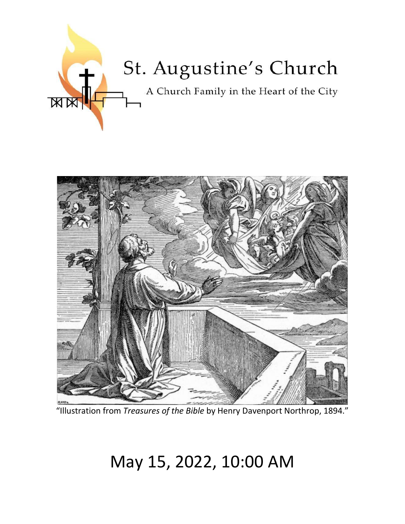



"Illustration from *Treasures of the Bible* by Henry Davenport Northrop, 1894."

# May 15, 2022, 10:00 AM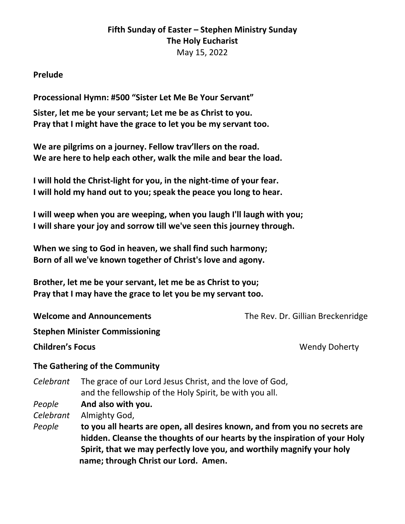# **Fifth Sunday of Easter – Stephen Ministry Sunday The Holy Eucharist** May 15, 2022

#### **Prelude**

**Processional Hymn: #500 "Sister Let Me Be Your Servant"**

**Sister, let me be your servant; Let me be as Christ to you. Pray that I might have the grace to let you be my servant too.**

**We are pilgrims on a journey. Fellow trav'llers on the road. We are here to help each other, walk the mile and bear the load.**

**I will hold the Christ-light for you, in the night-time of your fear. I will hold my hand out to you; speak the peace you long to hear.**

**I will weep when you are weeping, when you laugh I'll laugh with you; I will share your joy and sorrow till we've seen this journey through.**

**When we sing to God in heaven, we shall find such harmony; Born of all we've known together of Christ's love and agony.**

**Brother, let me be your servant, let me be as Christ to you; Pray that I may have the grace to let you be my servant too.**

**Welcome and Announcements** The Rev. Dr. Gillian Breckenridge

**Stephen Minister Commissioning**

**Children's Focus Children's Focus** 

#### **The Gathering of the Community**

*Celebrant* The grace of our Lord Jesus Christ, and the love of God, and the fellowship of the Holy Spirit, be with you all.

*People* **And also with you.**

*Celebrant* Almighty God,

*People* **to you all hearts are open, all desires known, and from you no secrets are hidden. Cleanse the thoughts of our hearts by the inspiration of your Holy Spirit, that we may perfectly love you, and worthily magnify your holy name; through Christ our Lord. Amen.**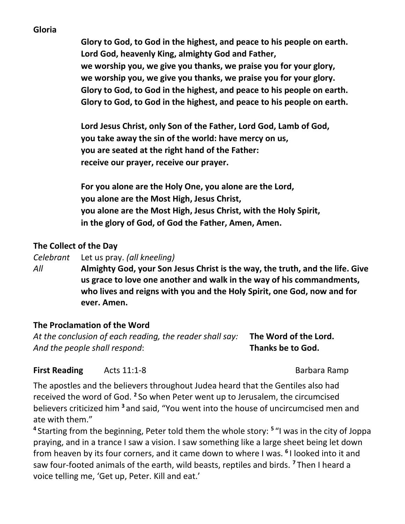#### **Gloria**

**Glory to God, to God in the highest, and peace to his people on earth. Lord God, heavenly King, almighty God and Father, we worship you, we give you thanks, we praise you for your glory, we worship you, we give you thanks, we praise you for your glory. Glory to God, to God in the highest, and peace to his people on earth. Glory to God, to God in the highest, and peace to his people on earth.**

**Lord Jesus Christ, only Son of the Father, Lord God, Lamb of God, you take away the sin of the world: have mercy on us, you are seated at the right hand of the Father: receive our prayer, receive our prayer.**

**For you alone are the Holy One, you alone are the Lord, you alone are the Most High, Jesus Christ, you alone are the Most High, Jesus Christ, with the Holy Spirit, in the glory of God, of God the Father, Amen, Amen.**

#### **The Collect of the Day**

*Celebrant* Let us pray. *(all kneeling)*

*All* **Almighty God, your Son Jesus Christ is the way, the truth, and the life. Give us grace to love one another and walk in the way of his commandments, who lives and reigns with you and the Holy Spirit, one God, now and for ever. Amen.**

#### **The Proclamation of the Word**

*At the conclusion of each reading, the reader shall say:* **The Word of the Lord.** *And the people shall respond*: **Thanks be to God.**

**First Reading** Acts 11:1-8 **Barbara Ramp** 

The apostles and the believers throughout Judea heard that the Gentiles also had received the word of God. **<sup>2</sup>** So when Peter went up to Jerusalem, the circumcised believers criticized him **<sup>3</sup>** and said, "You went into the house of uncircumcised men and ate with them."

**4** Starting from the beginning, Peter told them the whole story: **<sup>5</sup>** "I was in the city of Joppa praying, and in a trance I saw a vision. I saw something like a large sheet being let down from heaven by its four corners, and it came down to where I was. **<sup>6</sup>** I looked into it and saw four-footed animals of the earth, wild beasts, reptiles and birds. **<sup>7</sup>** Then I heard a voice telling me, 'Get up, Peter. Kill and eat.'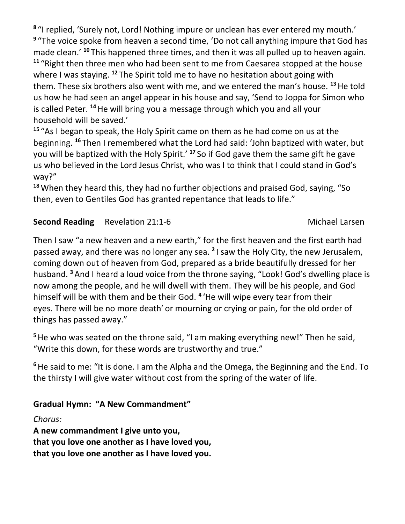**8** "I replied, 'Surely not, Lord! Nothing impure or unclean has ever entered my mouth.' **9** "The voice spoke from heaven a second time, 'Do not call anything impure that God has made clean.' **<sup>10</sup>** This happened three times, and then it was all pulled up to heaven again. **<sup>11</sup>** "Right then three men who had been sent to me from Caesarea stopped at the house where I was staying. **<sup>12</sup>** The Spirit told me to have no hesitation about going with them. These six brothers also went with me, and we entered the man's house. **<sup>13</sup>**He told us how he had seen an angel appear in his house and say, 'Send to Joppa for Simon who is called Peter. **<sup>14</sup>**He will bring you a message through which you and all your household will be saved.'

**<sup>15</sup>** "As I began to speak, the Holy Spirit came on them as he had come on us at the beginning. **<sup>16</sup>** Then I remembered what the Lord had said: 'John baptized with water, but you will be baptized with the Holy Spirit.' **<sup>17</sup>** So if God gave them the same gift he gave us who believed in the Lord Jesus Christ, who was I to think that I could stand in God's way?"

**<sup>18</sup>**When they heard this, they had no further objections and praised God, saying, "So then, even to Gentiles God has granted repentance that leads to life."

# **Second Reading Revelation 21:1-6 Michael Larsen**

Then I saw "a new heaven and a new earth," for the first heaven and the first earth had passed away, and there was no longer any sea. **<sup>2</sup>** I saw the Holy City, the new Jerusalem, coming down out of heaven from God, prepared as a bride beautifully dressed for her husband. **<sup>3</sup>** And I heard a loud voice from the throne saying, "Look! God's dwelling place is now among the people, and he will dwell with them. They will be his people, and God himself will be with them and be their God. **<sup>4</sup>** 'He will wipe every tear from their eyes. There will be no more death' or mourning or crying or pain, for the old order of things has passed away."

**<sup>5</sup>**He who was seated on the throne said, "I am making everything new!" Then he said, "Write this down, for these words are trustworthy and true."

**<sup>6</sup>**He said to me: "It is done. I am the Alpha and the Omega, the Beginning and the End. To the thirsty I will give water without cost from the spring of the water of life.

# **Gradual Hymn: "A New Commandment"**

*Chorus:* **A new commandment I give unto you, that you love one another as I have loved you, that you love one another as I have loved you.**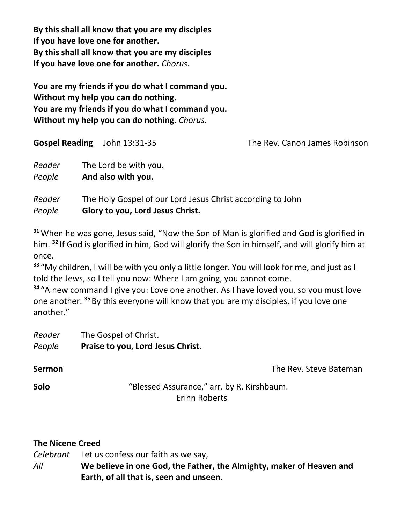**By this shall all know that you are my disciples If you have love one for another. By this shall all know that you are my disciples If you have love one for another.** *Chorus.*

**You are my friends if you do what I command you. Without my help you can do nothing. You are my friends if you do what I command you. Without my help you can do nothing.** *Chorus.*

| <b>Gospel Reading</b> | John 13:31-35                                                                                  | The Rev. Canon James Robinson |
|-----------------------|------------------------------------------------------------------------------------------------|-------------------------------|
| Reader<br>People      | The Lord be with you.<br>And also with you.                                                    |                               |
| Reader<br>People      | The Holy Gospel of our Lord Jesus Christ according to John<br>Glory to you, Lord Jesus Christ. |                               |

**<sup>31</sup>**When he was gone, Jesus said, "Now the Son of Man is glorified and God is glorified in him. **<sup>32</sup>** If God is glorified in him, God will glorify the Son in himself, and will glorify him at once.

**<sup>33</sup>** "My children, I will be with you only a little longer. You will look for me, and just as I told the Jews, so I tell you now: Where I am going, you cannot come.

**<sup>34</sup>** "A new command I give you: Love one another. As I have loved you, so you must love one another. **<sup>35</sup>** By this everyone will know that you are my disciples, if you love one another."

*Reader* The Gospel of Christ. *People* **Praise to you, Lord Jesus Christ.** 

**Sermon Sermon Sermon Sermon The Rev. Steve Bateman** 

**Solo** "Blessed Assurance," arr. by R. Kirshbaum. Erinn Roberts

# **The Nicene Creed**

*Celebrant* Let us confess our faith as we say, *All* **We believe in one God, the Father, the Almighty, maker of Heaven and Earth, of all that is, seen and unseen.**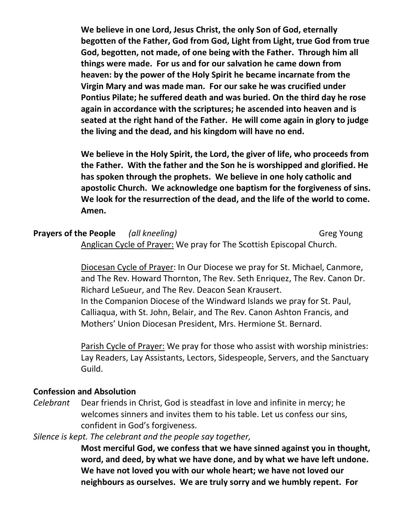**We believe in one Lord, Jesus Christ, the only Son of God, eternally begotten of the Father, God from God, Light from Light, true God from true God, begotten, not made, of one being with the Father. Through him all things were made. For us and for our salvation he came down from heaven: by the power of the Holy Spirit he became incarnate from the Virgin Mary and was made man. For our sake he was crucified under Pontius Pilate; he suffered death and was buried. On the third day he rose again in accordance with the scriptures; he ascended into heaven and is seated at the right hand of the Father. He will come again in glory to judge the living and the dead, and his kingdom will have no end.**

**We believe in the Holy Spirit, the Lord, the giver of life, who proceeds from the Father. With the father and the Son he is worshipped and glorified. He has spoken through the prophets. We believe in one holy catholic and apostolic Church. We acknowledge one baptism for the forgiveness of sins. We look for the resurrection of the dead, and the life of the world to come. Amen.**

### **Prayers of the People** *(all kneeling)* Greg Young Anglican Cycle of Prayer: We pray for The Scottish Episcopal Church.

Diocesan Cycle of Prayer: In Our Diocese we pray for St. Michael, Canmore, and The Rev. Howard Thornton, The Rev. Seth Enriquez, The Rev. Canon Dr. Richard LeSueur, and The Rev. Deacon Sean Krausert. In the Companion Diocese of the Windward Islands we pray for St. Paul, Calliaqua, with St. John, Belair, and The Rev. Canon Ashton Francis, and Mothers' Union Diocesan President, Mrs. Hermione St. Bernard.

Parish Cycle of Prayer: We pray for those who assist with worship ministries: Lay Readers, Lay Assistants, Lectors, Sidespeople, Servers, and the Sanctuary Guild.

#### **Confession and Absolution**

*Celebrant* Dear friends in Christ, God is steadfast in love and infinite in mercy; he welcomes sinners and invites them to his table. Let us confess our sins, confident in God's forgiveness.

#### *Silence is kept. The celebrant and the people say together,*

**Most merciful God, we confess that we have sinned against you in thought, word, and deed, by what we have done, and by what we have left undone. We have not loved you with our whole heart; we have not loved our neighbours as ourselves. We are truly sorry and we humbly repent. For**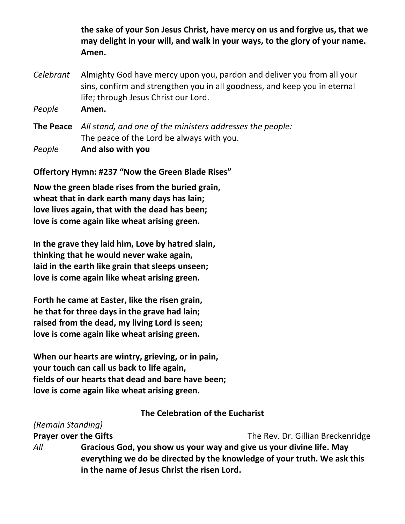**the sake of your Son Jesus Christ, have mercy on us and forgive us, that we may delight in your will, and walk in your ways, to the glory of your name. Amen.**

*Celebrant* Almighty God have mercy upon you, pardon and deliver you from all your sins, confirm and strengthen you in all goodness, and keep you in eternal life; through Jesus Christ our Lord.

*People* **Amen.**

**The Peace** *All stand, and one of the ministers addresses the people:* The peace of the Lord be always with you. *People* **And also with you**

**Offertory Hymn: #237 "Now the Green Blade Rises"**

**Now the green blade rises from the buried grain, wheat that in dark earth many days has lain; love lives again, that with the dead has been; love is come again like wheat arising green.**

**In the grave they laid him, Love by hatred slain, thinking that he would never wake again, laid in the earth like grain that sleeps unseen; love is come again like wheat arising green.**

**Forth he came at Easter, like the risen grain, he that for three days in the grave had lain; raised from the dead, my living Lord is seen; love is come again like wheat arising green.**

**When our hearts are wintry, grieving, or in pain, your touch can call us back to life again, fields of our hearts that dead and bare have been; love is come again like wheat arising green.**

#### **The Celebration of the Eucharist**

| (Remain Standing)            |                                                                                                                                                                                                 |                                   |
|------------------------------|-------------------------------------------------------------------------------------------------------------------------------------------------------------------------------------------------|-----------------------------------|
| <b>Prayer over the Gifts</b> |                                                                                                                                                                                                 | The Rev. Dr. Gillian Breckenridge |
| All                          | Gracious God, you show us your way and give us your divine life. May<br>everything we do be directed by the knowledge of your truth. We ask this<br>in the name of Jesus Christ the risen Lord. |                                   |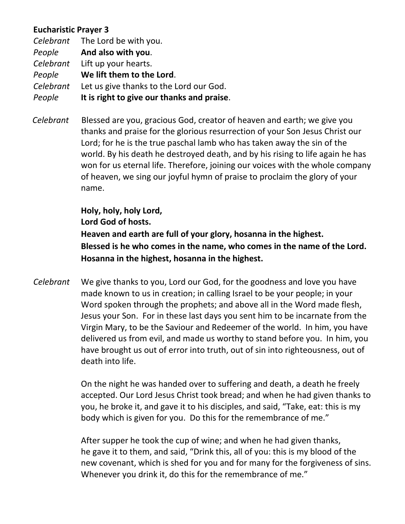## **Eucharistic Prayer 3**

*Celebrant* The Lord be with you. *People* **And also with you**. *Celebrant* Lift up your hearts. *People* **We lift them to the Lord**. *Celebrant* Let us give thanks to the Lord our God. *People* **It is right to give our thanks and praise**.

 *Celebrant* Blessed are you, gracious God, creator of heaven and earth; we give you thanks and praise for the glorious resurrection of your Son Jesus Christ our Lord; for he is the true paschal lamb who has taken away the sin of the world. By his death he destroyed death, and by his rising to life again he has won for us eternal life. Therefore, joining our voices with the whole company of heaven, we sing our joyful hymn of praise to proclaim the glory of your name.

**Holy, holy, holy Lord,**

**Lord God of hosts.**

**Heaven and earth are full of your glory, hosanna in the highest. Blessed is he who comes in the name, who comes in the name of the Lord. Hosanna in the highest, hosanna in the highest.**

*Celebrant* We give thanks to you, Lord our God, for the goodness and love you have made known to us in creation; in calling Israel to be your people; in your Word spoken through the prophets; and above all in the Word made flesh, Jesus your Son. For in these last days you sent him to be incarnate from the Virgin Mary, to be the Saviour and Redeemer of the world. In him, you have delivered us from evil, and made us worthy to stand before you. In him, you have brought us out of error into truth, out of sin into righteousness, out of death into life.

> On the night he was handed over to suffering and death, a death he freely accepted. Our Lord Jesus Christ took bread; and when he had given thanks to you, he broke it, and gave it to his disciples, and said, "Take, eat: this is my body which is given for you. Do this for the remembrance of me."

> After supper he took the cup of wine; and when he had given thanks, he gave it to them, and said, "Drink this, all of you: this is my blood of the new covenant, which is shed for you and for many for the forgiveness of sins. Whenever you drink it, do this for the remembrance of me."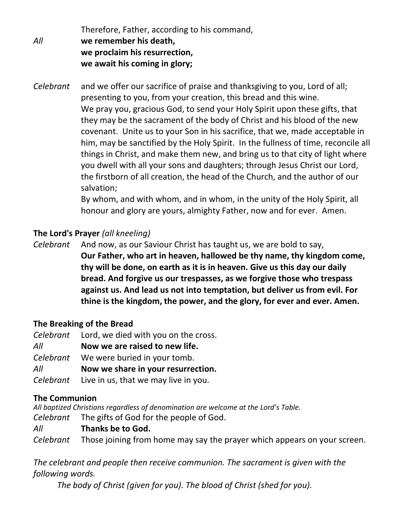Therefore, Father, according to his command, *All* **we remember his death, we proclaim his resurrection, we await his coming in glory;**

*Celebrant* and we offer our sacrifice of praise and thanksgiving to you, Lord of all; presenting to you, from your creation, this bread and this wine. We pray you, gracious God, to send your Holy Spirit upon these gifts, that they may be the sacrament of the body of Christ and his blood of the new covenant. Unite us to your Son in his sacrifice, that we, made acceptable in him, may be sanctified by the Holy Spirit. In the fullness of time, reconcile all things in Christ, and make them new, and bring us to that city of light where you dwell with all your sons and daughters; through Jesus Christ our Lord, the firstborn of all creation, the head of the Church, and the author of our salvation;

By whom, and with whom, and in whom, in the unity of the Holy Spirit, all honour and glory are yours, almighty Father, now and for ever. Amen.

# **The Lord's Prayer** *(all kneeling)*

*Celebrant* And now, as our Saviour Christ has taught us, we are bold to say, **Our Father, who art in heaven, hallowed be thy name, thy kingdom come, thy will be done, on earth as it is in heaven. Give us this day our daily bread. And forgive us our trespasses, as we forgive those who trespass against us. And lead us not into temptation, but deliver us from evil. For thine is the kingdom, the power, and the glory, for ever and ever. Amen.**

#### **The Breaking of the Bread**

| Celebrant | Lord, we died with you on the cross.           |
|-----------|------------------------------------------------|
| All       | Now we are raised to new life.                 |
| Celebrant | We were buried in your tomb.                   |
| All       | Now we share in your resurrection.             |
|           | Celebrant Live in us, that we may live in you. |

# **The Communion**

All baptized Christians regardless of denomination are welcome at the Lord's Table.

*Celebrant* The gifts of God for the people of God.

# *All* **Thanks be to God.**

*Celebrant* Those joining from home may say the prayer which appears on your screen.

*The celebrant and people then receive communion. The sacrament is given with the following words.*

*The body of Christ (given for you). The blood of Christ (shed for you).*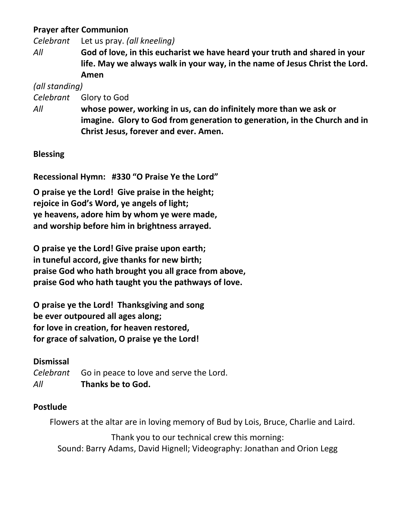### **Prayer after Communion**

*Celebrant* Let us pray. *(all kneeling)*

*All* **God of love, in this eucharist we have heard your truth and shared in your life. May we always walk in your way, in the name of Jesus Christ the Lord. Amen**

*(all standing)*

*Celebrant* Glory to God

*All* **whose power, working in us, can do infinitely more than we ask or imagine. Glory to God from generation to generation, in the Church and in Christ Jesus, forever and ever. Amen.**

# **Blessing**

**Recessional Hymn: #330 "O Praise Ye the Lord"**

**O praise ye the Lord! Give praise in the height; rejoice in God's Word, ye angels of light; ye heavens, adore him by whom ye were made, and worship before him in brightness arrayed.**

**O praise ye the Lord! Give praise upon earth; in tuneful accord, give thanks for new birth; praise God who hath brought you all grace from above, praise God who hath taught you the pathways of love.**

**O praise ye the Lord! Thanksgiving and song be ever outpoured all ages along; for love in creation, for heaven restored, for grace of salvation, O praise ye the Lord!**

# **Dismissal**

*Celebrant* Go in peace to love and serve the Lord. *All* **Thanks be to God.**

# **Postlude**

Flowers at the altar are in loving memory of Bud by Lois, Bruce, Charlie and Laird.

Thank you to our technical crew this morning: Sound: Barry Adams, David Hignell; Videography: Jonathan and Orion Legg